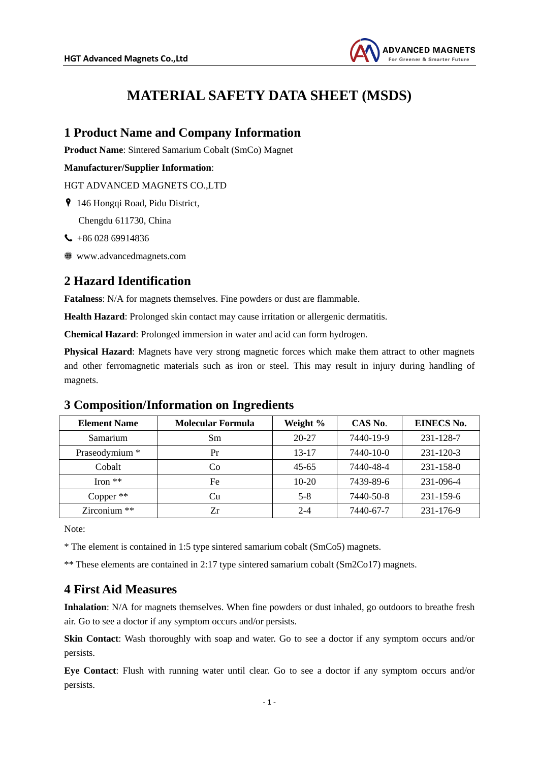

# **MATERIAL SAFETY DATA SHEET (MSDS)**

## **1 Product Name and Company Information**

**Product Name**: Sintered Samarium Cobalt (SmCo) Magnet

#### **Manufacturer/Supplier Information**:

HGT ADVANCED MAGNETS CO.,LTD

146 Hongqi Road, Pidu District,

Chengdu 611730, China

- $\leftarrow$  +86 028 69914836
- www.advancedmagnets.com

### **2 Hazard Identification**

**Fatalness**: N/A for magnets themselves. Fine powders or dust are flammable.

**Health Hazard**: Prolonged skin contact may cause irritation or allergenic dermatitis.

**Chemical Hazard**: Prolonged immersion in water and acid can form hydrogen.

**Physical Hazard**: Magnets have very strong magnetic forces which make them attract to other magnets and other ferromagnetic materials such as iron or steel. This may result in injury during handling of magnets.

# **Element Name Molecular Formula Weight % CAS No**. **EINECS No.** Samarium | Sm | 20-27 | 7440-19-9 | 231-128-7 Praseodymium \* Pr 13-17 7440-10-0 231-120-3 Cobalt Co 45-65 7440-48-4 231-158-0 Iron \*\* Fe 10-20 7439-89-6 231-096-4 Copper \*\* Cu Cu 5-8 7440-50-8 231-159-6 Zirconium \*\* Zr 2-4 7440-67-7 231-176-9

# **3 Composition/Information on Ingredients**

Note:

\* The element is contained in 1:5 type sintered samarium cobalt (SmCo5) magnets.

\*\* These elements are contained in 2:17 type sintered samarium cobalt (Sm2Co17) magnets.

# **4 First Aid Measures**

**Inhalation**: N/A for magnets themselves. When fine powders or dust inhaled, go outdoors to breathe fresh air. Go to see a doctor if any symptom occurs and/or persists.

**Skin Contact:** Wash thoroughly with soap and water. Go to see a doctor if any symptom occurs and/or persists.

**Eye Contact**: Flush with running water until clear. Go to see a doctor if any symptom occurs and/or persists.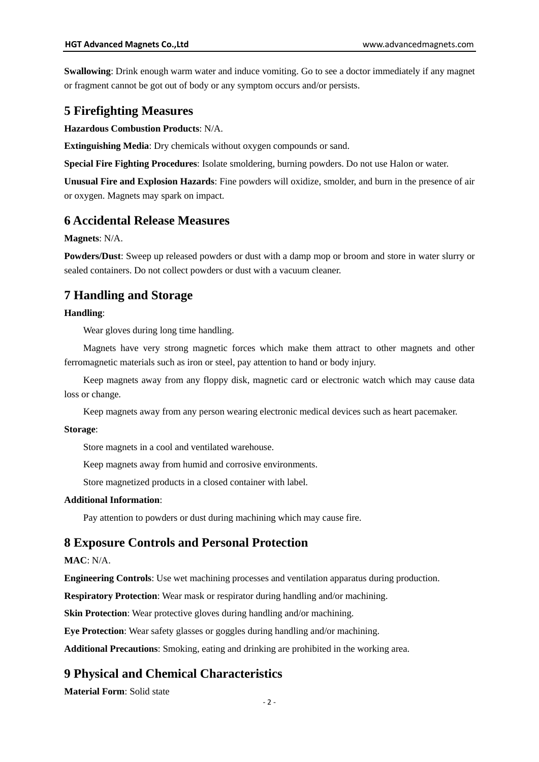**Swallowing**: Drink enough warm water and induce vomiting. Go to see a doctor immediately if any magnet or fragment cannot be got out of body or any symptom occurs and/or persists.

### **5 Firefighting Measures**

**Hazardous Combustion Products**: N/A.

**Extinguishing Media**: Dry chemicals without oxygen compounds or sand.

**Special Fire Fighting Procedures**: Isolate smoldering, burning powders. Do not use Halon or water.

**Unusual Fire and Explosion Hazards**: Fine powders will oxidize, smolder, and burn in the presence of air or oxygen. Magnets may spark on impact.

### **6 Accidental Release Measures**

**Magnets**: N/A.

**Powders/Dust**: Sweep up released powders or dust with a damp mop or broom and store in water slurry or sealed containers. Do not collect powders or dust with a vacuum cleaner.

# **7 Handling and Storage**

#### **Handling**:

Wear gloves during long time handling.

Magnets have very strong magnetic forces which make them attract to other magnets and other ferromagnetic materials such as iron or steel, pay attention to hand or body injury.

Keep magnets away from any floppy disk, magnetic card or electronic watch which may cause data loss or change.

Keep magnets away from any person wearing electronic medical devices such as heart pacemaker.

#### **Storage**:

Store magnets in a cool and ventilated warehouse.

Keep magnets away from humid and corrosive environments.

Store magnetized products in a closed container with label.

#### **Additional Information**:

Pay attention to powders or dust during machining which may cause fire.

### **8 Exposure Controls and Personal Protection**

### **MAC**: N/A.

**Engineering Controls**: Use wet machining processes and ventilation apparatus during production.

**Respiratory Protection**: Wear mask or respirator during handling and/or machining.

**Skin Protection**: Wear protective gloves during handling and/or machining.

**Eye Protection**: Wear safety glasses or goggles during handling and/or machining.

**Additional Precautions**: Smoking, eating and drinking are prohibited in the working area.

# **9 Physical and Chemical Characteristics**

**Material Form**: Solid state

 $-2 -$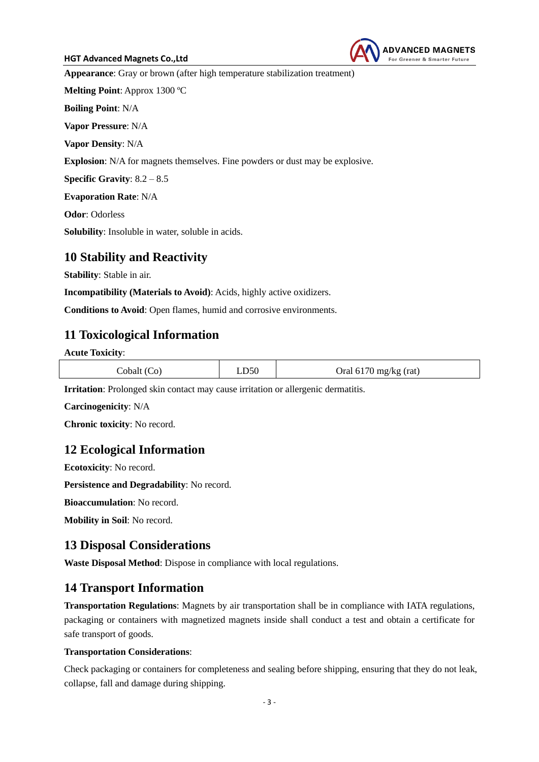#### **HGT Advanced Magnets Co.,Ltd**



**Appearance**: Gray or brown (after high temperature stabilization treatment)

**Melting Point**: Approx 1300 ºC

**Boiling Point**: N/A

**Vapor Pressure**: N/A

**Vapor Density**: N/A

**Explosion**: N/A for magnets themselves. Fine powders or dust may be explosive.

**Specific Gravity**: 8.2 – 8.5

**Evaporation Rate**: N/A

**Odor**: Odorless

**Solubility**: Insoluble in water, soluble in acids.

### **10 Stability and Reactivity**

**Stability**: Stable in air.

**Incompatibility (Materials to Avoid)**: Acids, highly active oxidizers.

**Conditions to Avoid**: Open flames, humid and corrosive environments.

# **11 Toxicological Information**

**Acute Toxicity**:

| Cobalt (Co) | LD50 | Oral $6170$ mg/kg (rat) |
|-------------|------|-------------------------|
|             |      |                         |

**Irritation**: Prolonged skin contact may cause irritation or allergenic dermatitis.

**Carcinogenicity**: N/A

**Chronic toxicity**: No record.

# **12 Ecological Information**

**Ecotoxicity**: No record.

**Persistence and Degradability**: No record.

**Bioaccumulation**: No record.

**Mobility in Soil**: No record.

# **13 Disposal Considerations**

**Waste Disposal Method**: Dispose in compliance with local regulations.

# **14 Transport Information**

**Transportation Regulations**: Magnets by air transportation shall be in compliance with IATA regulations, packaging or containers with magnetized magnets inside shall conduct a test and obtain a certificate for safe transport of goods.

### **Transportation Considerations**:

Check packaging or containers for completeness and sealing before shipping, ensuring that they do not leak, collapse, fall and damage during shipping.